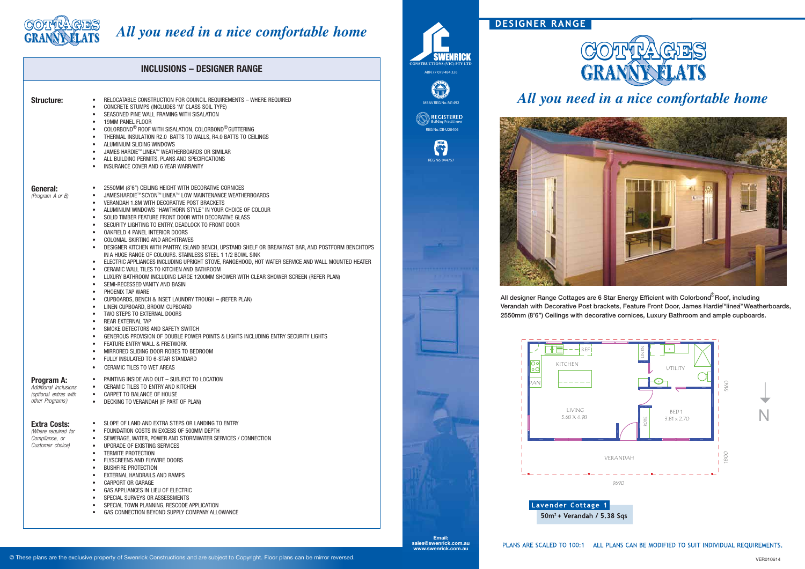**Email: sales@swenrick.com.au www.swenrick.com.au**



#### © These plans are the exclusive property of Swenrick Constructions and are subject to Copyright. Floor plans can be mirror reversed.

# DESIGNER RANGE

PLANS ARE SCALED TO 100:1 ALL PLANS CAN BE MODIFIED TO SUIT INDIVIDUAL REQUIREMENTS.



# *All you need in a nice comfortable home*



# *All you need in a nice comfortable home* **LATS**

Verandah with Decorative Post brackets, Feature Front Door, James Hardie™linea™Weatherboards, All designer Range Cottages are 6 Star Energy Efficient with Colorbond<sup>®</sup> Roof, including 2550mm (8'6") Ceilings with decorative cornices, Luxury Bathroom and ample cupboards.

| <b>INCLUSIONS - DESIGNER RANGE</b> |                                                                                        |                                                                                                                                                                                                                                                                                                                                                                                                                                                                                                                                                                                                                                                                                                                                                                                                                                                                                                                                                                                                                                                                                                                                                                                                                                                                                                                                                                                                                                                                                                                                                                                                         |
|------------------------------------|----------------------------------------------------------------------------------------|---------------------------------------------------------------------------------------------------------------------------------------------------------------------------------------------------------------------------------------------------------------------------------------------------------------------------------------------------------------------------------------------------------------------------------------------------------------------------------------------------------------------------------------------------------------------------------------------------------------------------------------------------------------------------------------------------------------------------------------------------------------------------------------------------------------------------------------------------------------------------------------------------------------------------------------------------------------------------------------------------------------------------------------------------------------------------------------------------------------------------------------------------------------------------------------------------------------------------------------------------------------------------------------------------------------------------------------------------------------------------------------------------------------------------------------------------------------------------------------------------------------------------------------------------------------------------------------------------------|
|                                    | <b>Structure:</b>                                                                      | RELOCATABLE CONSTRUCTION FOR COUNCIL REQUIREMENTS - WHERE REQUIRED<br>$\bullet$<br>CONCRETE STUMPS (INCLUDES 'M' CLASS SOIL TYPE)<br>$\bullet$<br>SEASONED PINE WALL FRAMING WITH SISALATION<br>$\bullet$<br>19MM PANEL FLOOR<br>$\bullet$<br>COLORBOND® ROOF WITH SISALATION, COLORBOND® GUTTERING<br>$\bullet$<br>THERMAL INSULATION R2.0 BATTS TO WALLS, R4.0 BATTS TO CEILINGS<br>$\bullet$<br>ALUMINIUM SLIDING WINDOWS<br>$\bullet$<br>JAMES HARDIE™LINEA™ WEATHERBOARDS OR SIMILAR<br>$\bullet$<br>ALL BUILDING PERMITS, PLANS AND SPECIFICATIONS<br>$\bullet$<br>INSURANCE COVER AND 6 YEAR WARRANTY<br>$\bullet$                                                                                                                                                                                                                                                                                                                                                                                                                                                                                                                                                                                                                                                                                                                                                                                                                                                                                                                                                                               |
|                                    | General:<br>(Program A or B)                                                           | 2550MM (8'6") CEILING HEIGHT WITH DECORATIVE CORNICES<br>$\bullet$<br>JAMESHARDIE™SCYON™ LINEA™ LOW MAINTENANCE WEATHERBOARDS<br>$\bullet$<br>VERANDAH 1.8M WITH DECORATIVE POST BRACKETS<br>$\bullet$<br>ALUMINIUM WINDOWS "HAWTHORN STYLE" IN YOUR CHOICE OF COLOUR<br>$\bullet$<br>SOLID TIMBER FEATURE FRONT DOOR WITH DECORATIVE GLASS<br>٠<br>SECURITY LIGHTING TO ENTRY, DEADLOCK TO FRONT DOOR<br>٠<br>OAKFIELD 4 PANEL INTERIOR DOORS<br>$\bullet$<br>COLONIAL SKIRTING AND ARCHITRAVES<br>$\bullet$<br>DESIGNER KITCHEN WITH PANTRY, ISLAND BENCH, UPSTAND SHELF OR BREAKFAST BAR, AND POSTFORM BENCHTOPS<br>٠<br>IN A HUGE RANGE OF COLOURS. STAINLESS STEEL 1 1/2 BOWL SINK<br>ELECTRIC APPLIANCES INCLUDING UPRIGHT STOVE, RANGEHOOD, HOT WATER SERVICE AND WALL MOUNTED HEATER<br>$\bullet$<br>CERAMIC WALL TILES TO KITCHEN AND BATHROOM<br>$\bullet$<br>LUXURY BATHROOM INCLUDING LARGE 1200MM SHOWER WITH CLEAR SHOWER SCREEN (REFER PLAN)<br>$\bullet$<br>SEMI-RECESSED VANITY AND BASIN<br>$\bullet$<br>PHOENIX TAP WARE<br>$\bullet$<br>CUPBOARDS, BENCH & INSET LAUNDRY TROUGH - (REFER PLAN)<br>$\bullet$<br>LINEN CUPBOARD, BROOM CUPBOARD<br>$\bullet$<br>TWO STEPS TO EXTERNAL DOORS<br>$\bullet$<br>REAR EXTERNAL TAP<br>$\bullet$<br>SMOKE DETECTORS AND SAFETY SWITCH<br>$\bullet$<br>GENEROUS PROVISION OF DOUBLE POWER POINTS & LIGHTS INCLUDING ENTRY SECURITY LIGHTS<br>$\bullet$<br>FEATURE ENTRY WALL & FRETWORK<br>$\bullet$<br>MIRRORED SLIDING DOOR ROBES TO BEDROOM<br>$\bullet$<br>FULLY INSULATED TO 6-STAR STANDARD<br>CERAMIC TILES TO WET AREAS<br>$\bullet$ |
|                                    | <b>Program A:</b><br>Additional Inclusions<br>(optional extras with<br>other Programs) | PAINTING INSIDE AND OUT - SUBJECT TO LOCATION<br>٠<br>CERAMIC TILES TO ENTRY AND KITCHEN<br>٠<br>CARPET TO BALANCE OF HOUSE<br>$\bullet$<br>DECKING TO VERANDAH (IF PART OF PLAN)<br>$\bullet$                                                                                                                                                                                                                                                                                                                                                                                                                                                                                                                                                                                                                                                                                                                                                                                                                                                                                                                                                                                                                                                                                                                                                                                                                                                                                                                                                                                                          |
|                                    | <b>Extra Costs:</b><br>(Where required for<br>Compliance, or<br>Customer choice)       | SLOPE OF LAND AND EXTRA STEPS OR LANDING TO ENTRY<br>FOUNDATION COSTS IN EXCESS OF 500MM DEPTH<br>$\bullet$<br>SEWERAGE, WATER, POWER AND STORMWATER SERVICES / CONNECTION<br>$\bullet$<br>UPGRADE OF EXISTING SERVICES<br>$\bullet$<br><b>TERMITE PROTECTION</b><br>$\bullet$<br>FLYSCREENS AND FLYWIRE DOORS<br>$\bullet$<br><b>BUSHFIRE PROTECTION</b><br>$\bullet$<br>EXTERNAL HANDRAILS AND RAMPS<br>$\bullet$<br><b>CARPORT OR GARAGE</b><br>$\bullet$<br>GAS APPLIANCES IN LIEU OF ELECTRIC<br>$\bullet$<br>SPECIAL SURVEYS OR ASSESSMENTS<br>$\bullet$<br>SPECIAL TOWN PLANNING, RESCODE APPLICATION<br>$\bullet$<br>GAS CONNECTION BEYOND SUPPLY COMPANY ALLOWANCE<br>$\bullet$                                                                                                                                                                                                                                                                                                                                                                                                                                                                                                                                                                                                                                                                                                                                                                                                                                                                                                                |